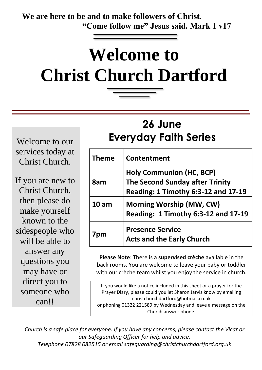**We are here to be and to make followers of Christ. "Come follow me" Jesus said. Mark 1 v17**

# **Welcome to Christ Church Dartford**

# **26 June Everyday Faith Series**

Welcome to our services today at Christ Church.

If you are new to Christ Church, then please do make yourself known to the sidespeople who will be able to answer any questions you may have or direct you to someone who can!!

| <b>Theme</b>     | Contentment                                                            |
|------------------|------------------------------------------------------------------------|
| 8am              | <b>Holy Communion (HC, BCP)</b><br>The Second Sunday after Trinity     |
|                  | Reading: 1 Timothy 6:3-12 and 17-19                                    |
| 10 <sub>am</sub> | <b>Morning Worship (MW, CW)</b><br>Reading: 1 Timothy 6:3-12 and 17-19 |
| 7pm              | <b>Presence Service</b><br><b>Acts and the Early Church</b>            |

**Please Note**: There is a **supervised crèche** available in the back rooms. You are welcome to leave your baby or toddler with our crèche team whilst you enjoy the service in church.

If you would like a notice included in this sheet or a prayer for the Prayer Diary, please could you let Sharon Jarvis know by emailing christchurchdartford@hotmail.co.uk or phoning 01322 221589 by Wednesday and leave a message on the Church answer phone.

*Church is a safe place for everyone. If you have any concerns, please contact the Vicar or our Safeguarding Officer for help and advice. Telephone 07828 082515 or email safeguarding@christchurchdartford.org.uk*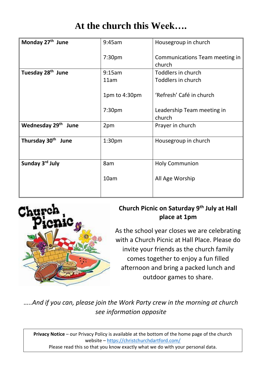### **At the church this Week….**

| Monday 27 <sup>th</sup> June   | 9:45am             | Housegroup in church                     |
|--------------------------------|--------------------|------------------------------------------|
|                                | 7:30 <sub>pm</sub> | Communications Team meeting in<br>church |
| Tuesday 28 <sup>th</sup> June  | 9:15am             | Toddlers in church                       |
|                                | 11am               | Toddlers in church                       |
|                                | 1pm to 4:30pm      | 'Refresh' Café in church                 |
|                                | 7:30 <sub>pm</sub> | Leadership Team meeting in<br>church     |
| Wednesday 29th<br>June         | 2pm                | Prayer in church                         |
| Thursday 30 <sup>th</sup> June | 1:30 <sub>pm</sub> | Housegroup in church                     |
| Sunday 3rd July                | 8am                | <b>Holy Communion</b>                    |
|                                | 10am               | All Age Worship                          |



#### **Church Picnic on Saturday 9th July at Hall place at 1pm**

As the school year closes we are celebrating with a Church Picnic at Hall Place. Please do invite your friends as the church family comes together to enjoy a fun filled afternoon and bring a packed lunch and outdoor games to share.

*…..And if you can, please join the Work Party crew in the morning at church see information opposite*

**Privacy Notice** – our Privacy Policy is available at the bottom of the home page of the church website – <https://christchurchdartford.com/> Please read this so that you know exactly what we do with your personal data.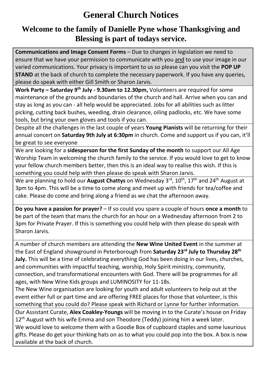## **General Church Notices**

#### **Welcome to the family of Danielle Pyne whose Thanksgiving and Blessing is part of todays service.**

**Communications and Image Consent Forms** – Due to changes in legislation we need to ensure that we have your permission to communicate with you and to use your image in our varied communications. Your privacy is important to us so please can you visit the **POP UP STAND** at the back of church to complete the necessary paperwork. If you have any queries, please do speak with either Gill Smith or Sharon Jarvis.

**Work Party – Saturday 9th July - 9.30am to 12.30pm,** Volunteers are required for some maintenance of the grounds and boundaries of the church and hall. Arrive when you can and stay as long as you can - all help would be appreciated. Jobs for all abilities such as litter picking, cutting back bushes, weeding, drain clearance, oiling padlocks, etc. We have some tools, but bring your own gloves and tools if you can.

Despite all the challenges in the last couple of years **Young Pianists** will be returning for their annual concert on **Saturday 9th July at 6:30pm** in church. Come and support us if you can, it'll be great to see everyone

We are looking for a **sidesperson for the first Sunday of the month** to support our All Age Worship Team in welcoming the church family to the service. If you would love to get to know your fellow church members better, then this is an ideal way to realise this wish. If this is something you could help with then please do speak with Sharon Jarvis.

We are planning to hold our **August Chattys** on Wednesday 3<sup>rd</sup>, 10<sup>th</sup>, 17<sup>th</sup> and 24<sup>th</sup> August at 3pm to 4pm. This will be a time to come along and meet up with friends for tea/coffee and cake. Please do come and bring along a friend as we chat the afternoon away.

**Do you have a passion for prayer?** – If so could you spare a couple of hours **once a month** to be part of the team that mans the church for an hour on a Wednesday afternoon from 2 to 3pm for Private Prayer. If this is something you could help with then please do speak with Sharon Jarvis.

A number of church members are attending the **New Wine United Event** in the summer at the East of England showground in Peterborough from **Saturday 23rd July to Thursday 28th July.** This will be a time of celebrating everything God has been doing in our lives, churches, and communities with impactful teaching, worship, Holy Spirit ministry, community, connection, and transformational encounters with God. There will be programmes for all ages, with New Wine Kids groups and LUMINOSITY for 11-18s.

The New Wine organisation are looking for youth and adult volunteers to help out at the event either full or part time and are offering FREE places for those that volunteer, is this something that you could do? Please speak with Richard or Lynne for further information. Our Assistant Curate, **Alex Coakley-Youngs** will be moving in to the Curate's house on Friday 12<sup>th</sup> August with his wife Emma and son Theodore (Teddy) joining him a week later. We would love to welcome them with a Goodie Box of cupboard staples and some luxurious gifts. Please do get your thinking hats on as to what you could pop into the box. A box is now available at the back of church.